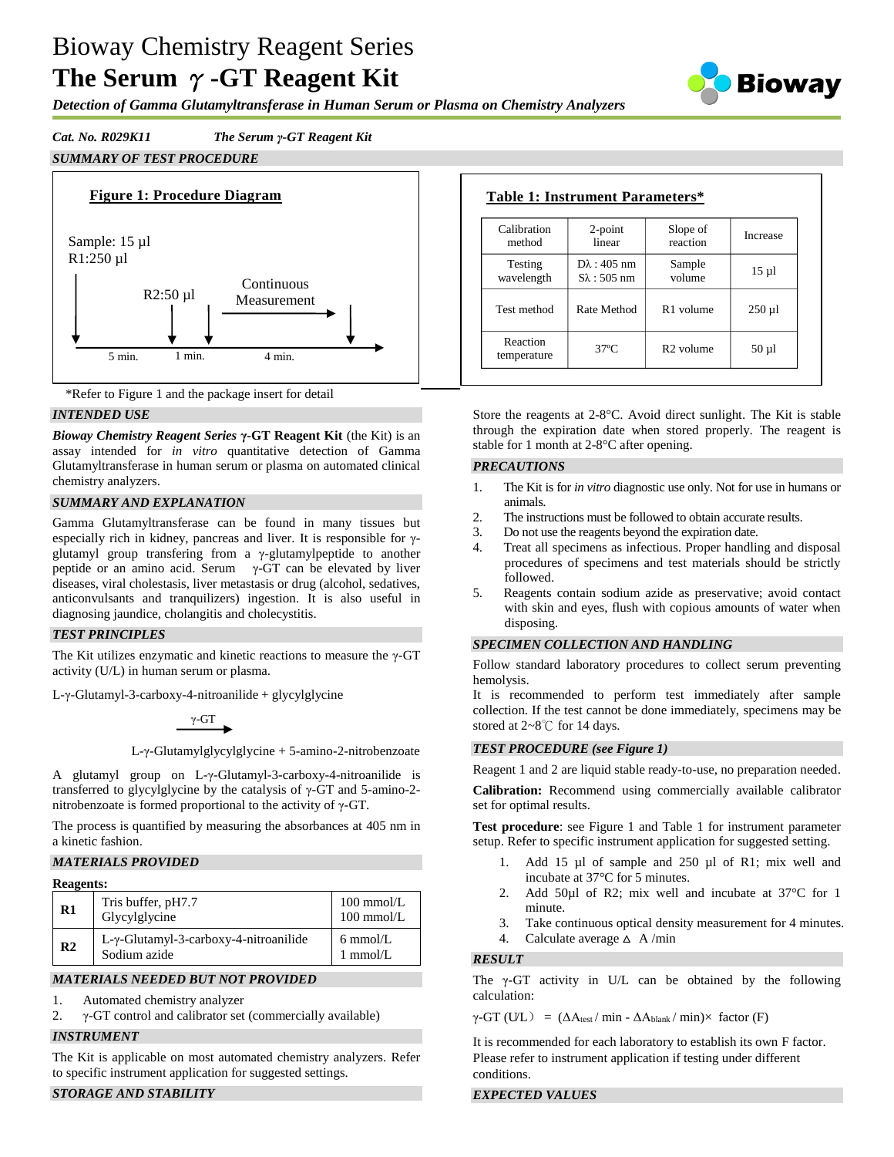# Bioway Chemistry Reagent Series **The Serum** γ**-GT Reagent Kit**

*Detection of Gamma Glutamyltransferase in Human Serum or Plasma on Chemistry Analyzers*

## *Cat. No. R029K11 The Serum γ-GT Reagent Kit*

## *SUMMARY OF TEST PROCEDURE*





## *INTENDED USE*

*Bioway Chemistry Reagent Series* **γ-GT Reagent Kit** (the Kit) is an assay intended for *in vitro* quantitative detection of Gamma Glutamyltransferase in human serum or plasma on automated clinical chemistry analyzers.

## *SUMMARY AND EXPLANATION*

Gamma Glutamyltransferase can be found in many tissues but especially rich in kidney, pancreas and liver. It is responsible for γglutamyl group transfering from a γ-glutamylpeptide to another peptide or an amino acid. Serum  $γ$ -GT can be elevated by liver diseases, viral cholestasis, liver metastasis or drug (alcohol, sedatives, anticonvulsants and tranquilizers) ingestion. It is also useful in diagnosing jaundice, cholangitis and cholecystitis.

#### *TEST PRINCIPLES*

The Kit utilizes enzymatic and kinetic reactions to measure the γ-GT activity (U/L) in human serum or plasma.

L-γ-Glutamyl-3-carboxy-4-nitroanilide + glycylglycine

γ-GT

L-γ-Glutamylglycylglycine + 5-amino-2-nitrobenzoate

A glutamyl group on L-γ-Glutamyl-3-carboxy-4-nitroanilide is transferred to glycylglycine by the catalysis of γ-GT and 5-amino-2 nitrobenzoate is formed proportional to the activity of γ-GT.

The process is quantified by measuring the absorbances at 405 nm in a kinetic fashion.

## *MATERIALS PROVIDED*

#### **Reagents:**

| R1             | Tris buffer, pH7.7<br>Glycylglycine                           | $100$ mmol/L<br>$100$ mmol/L     |
|----------------|---------------------------------------------------------------|----------------------------------|
| R <sub>2</sub> | $L-\gamma$ -Glutamyl-3-carboxy-4-nitroanilide<br>Sodium azide | $6 \text{ mmol/L}$<br>$1$ mmol/L |

## *MATERIALS NEEDED BUT NOT PROVIDED*

- 1. Automated chemistry analyzer
- 2. γ-GT control and calibrator set (commercially available)

#### *INSTRUMENT*

The Kit is applicable on most automated chemistry analyzers. Refer to specific instrument application for suggested settings.

## *STORAGE AND STABILITY*

| Calibration             | $2$ -point             | Slope of              | Increase    |
|-------------------------|------------------------|-----------------------|-------------|
| method                  | linear                 | reaction              |             |
| Testing                 | $D\lambda$ : 405 nm    | Sample                | $15 \mu$    |
| wavelength              | $S_{\lambda}$ : 505 nm | volume                |             |
| Test method             | Rate Method            | R <sub>1</sub> volume | $250 \mu l$ |
| Reaction<br>temperature | $37^\circ$ C           | $R2$ volume           | $50 \mu$ l  |

Store the reagents at 2-8°C. Avoid direct sunlight. The Kit is stable through the expiration date when stored properly. The reagent is stable for 1 month at 2-8°C after opening.

#### *PRECAUTIONS*

- 1. The Kit is for *in vitro* diagnostic use only. Not for use in humans or animals.
- 2. The instructions must be followed to obtain accurate results.
- 3. Do not use the reagents beyond the expiration date.
- 4. Treat all specimens as infectious. Proper handling and disposal procedures of specimens and test materials should be strictly followed.
- 5. Reagents contain sodium azide as preservative; avoid contact with skin and eyes, flush with copious amounts of water when disposing.

#### *SPECIMEN COLLECTION AND HANDLING*

Follow standard laboratory procedures to collect serum preventing hemolysis.

It is recommended to perform test immediately after sample collection. If the test cannot be done immediately, specimens may be stored at 2~8℃ for 14 days.

## *TEST PROCEDURE (see Figure 1)*

Reagent 1 and 2 are liquid stable ready-to-use, no preparation needed.

**Calibration:** Recommend using commercially available calibrator set for optimal results.

**Test procedure**: see Figure 1 and Table 1 for instrument parameter setup. Refer to specific instrument application for suggested setting.

- 1. Add 15 µl of sample and 250 µl of R1; mix well and incubate at 37°C for 5 minutes.
- 2. Add 50µl of R2; mix well and incubate at 37 °C for 1 minute.
- 3. Take continuous optical density measurement for 4 minutes.
- 4. Calculate average  $\triangle$  A/min

#### *RESULT*

The  $\gamma$ -GT activity in U/L can be obtained by the following calculation:

 $\gamma$ -GT (U/L) = ( $\Delta A_{\text{test}}/$  min -  $\Delta A_{\text{blank}}/$  min) $\times$  factor (F)

It is recommended for each laboratory to establish its own F factor. Please refer to instrument application if testing under different conditions.

## *EXPECTED VALUES*